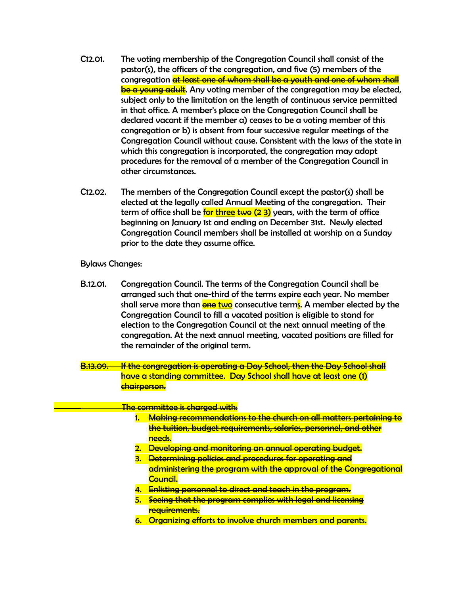- C12.01. The voting membership of the Congregation Council shall consist of the pastor(s), the officers of the congregation, and five (5) members of the congregation <del>at least one of whom shall be a youth and one of whom shall</del> be a young adult. Any voting member of the congregation may be elected, subject only to the limitation on the length of continuous service permitted in that office. A member's place on the Congregation Council shall be declared vacant if the member a) ceases to be a voting member of this congregation or b) is absent from four successive regular meetings of the Congregation Council without cause. Consistent with the laws of the state in which this congregation is incorporated, the congregation may adopt procedures for the removal of a member of the Congregation Council in other circumstances.
- C12.02. The members of the Congregation Council except the pastor(s) shall be elected at the legally called Annual Meeting of the congregation. Their term of office shall be <mark>for three <del>two</del> (<del>2</del> 3)</mark> years, with the term of office beginning on January 1st and ending on December 31st. Newly elected Congregation Council members shall be installed at worship on a Sunday prior to the date they assume office.

## Bylaws Changes:

- B.12.01. Congregation Council. The terms of the Congregation Council shall be arranged such that one-third of the terms expire each year. No member shall serve more than <mark>one two</mark> consecutive term<mark>s</mark>. A member elected by the Congregation Council to fill a vacated position is eligible to stand for election to the Congregation Council at the next annual meeting of the congregation. At the next annual meeting, vacated positions are filled for the remainder of the original term.
- B.13.09. If the congregation is operating a Day School, then the Day School shall have a standing committee. Day School shall have at least one (1) chairperson.

## The committee is charged with:

- 1. Making recommendations to the church on all matters pertaining to the tuition, budget requirements, salaries, personnel, and other needs.
- 2. Developing and monitoring an annual operating budget.
- 3. Determining policies and procedures for operating and administering the program with the approval of the Congregational Council.
- 4. Enlisting personnel to direct and teach in the program.
- 5. Seeing that the program complies with legal and licensing requirements.
- 6. Organizing efforts to involve church members and parents.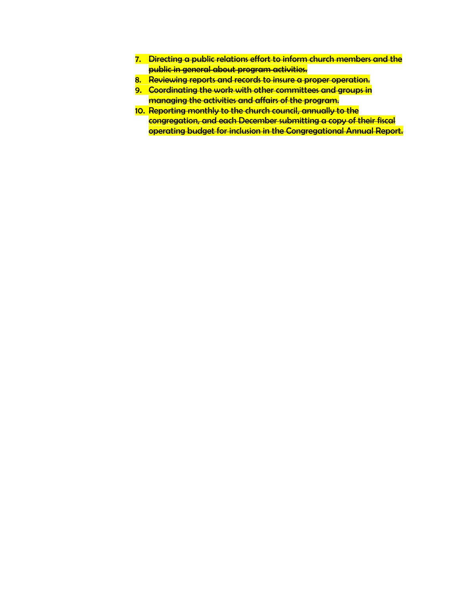- 7. Directing a public relations effort to inform church members and the public in general about program activities.
- 8. Reviewing reports and records to insure a proper operation.
- 9. Coordinating the work with other committees and groups in managing the activities and affairs of the program.
- 10. Reporting monthly to the church council, annually to the congregation, and each December submitting a copy of their fiscal operating budget for inclusion in the Congregational Annual Report.